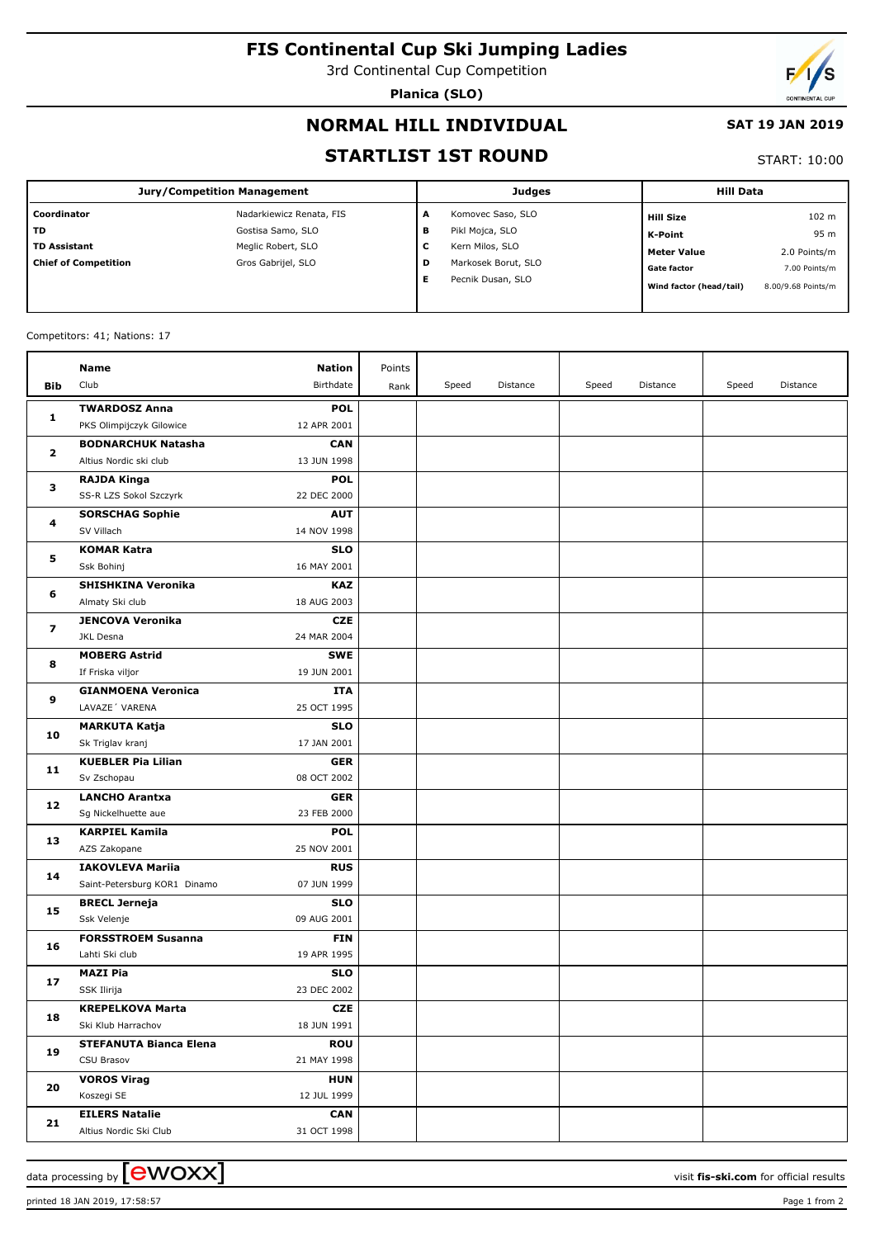# **FIS Continental Cup Ski Jumping Ladies**

3rd Continental Cup Competition

**Planica (SLO)**



### **NORMAL HILL INDIVIDUAL**

#### **SAT 19 JAN 2019**

### **STARTLIST 1ST ROUND**

START: 10:00

| <b>Jury/Competition Management</b> |                          |         | <b>Judges</b>       | <b>Hill Data</b>        |                    |
|------------------------------------|--------------------------|---------|---------------------|-------------------------|--------------------|
| l Coordinator                      | Nadarkiewicz Renata, FIS | A       | Komovec Saso, SLO   | <b>Hill Size</b>        | 102 <sub>m</sub>   |
| l TD                               | Gostisa Samo, SLO        | в       | Pikl Mojca, SLO     | <b>K-Point</b>          | 95 m               |
| TD Assistant                       | Meglic Robert, SLO       | -<br>۰. | Kern Milos, SLO     | <b>Meter Value</b>      | 2.0 Points/m       |
| Chief of Competition               | Gros Gabrijel, SLO       | D       | Markosek Borut, SLO | <b>Gate factor</b>      | 7.00 Points/m      |
|                                    |                          | Е       | Pecnik Dusan, SLO   | Wind factor (head/tail) | 8.00/9.68 Points/m |

Competitors: 41; Nations: 17

|                         | Name                                        | Nation                    | Points |       |          |       |          |       |          |
|-------------------------|---------------------------------------------|---------------------------|--------|-------|----------|-------|----------|-------|----------|
| Bib                     | Club                                        | Birthdate                 | Rank   | Speed | Distance | Speed | Distance | Speed | Distance |
|                         | <b>TWARDOSZ Anna</b>                        | <b>POL</b>                |        |       |          |       |          |       |          |
| 1                       | PKS Olimpijczyk Gilowice                    | 12 APR 2001               |        |       |          |       |          |       |          |
|                         | <b>BODNARCHUK Natasha</b>                   | <b>CAN</b>                |        |       |          |       |          |       |          |
| $\mathbf{z}$            | Altius Nordic ski club                      | 13 JUN 1998               |        |       |          |       |          |       |          |
|                         | <b>RAJDA Kinga</b>                          | <b>POL</b>                |        |       |          |       |          |       |          |
| з                       | SS-R LZS Sokol Szczyrk                      | 22 DEC 2000               |        |       |          |       |          |       |          |
| 4                       | <b>SORSCHAG Sophie</b>                      | <b>AUT</b>                |        |       |          |       |          |       |          |
|                         | SV Villach                                  | 14 NOV 1998               |        |       |          |       |          |       |          |
| 5                       | <b>KOMAR Katra</b>                          | <b>SLO</b>                |        |       |          |       |          |       |          |
|                         | Ssk Bohinj                                  | 16 MAY 2001               |        |       |          |       |          |       |          |
| 6                       | <b>SHISHKINA Veronika</b>                   | <b>KAZ</b>                |        |       |          |       |          |       |          |
|                         | Almaty Ski club                             | 18 AUG 2003               |        |       |          |       |          |       |          |
| $\overline{\mathbf{z}}$ | <b>JENCOVA Veronika</b>                     | <b>CZE</b>                |        |       |          |       |          |       |          |
|                         | JKL Desna                                   | 24 MAR 2004               |        |       |          |       |          |       |          |
| 8                       | <b>MOBERG Astrid</b>                        | <b>SWE</b>                |        |       |          |       |          |       |          |
|                         | If Friska viljor                            | 19 JUN 2001               |        |       |          |       |          |       |          |
| 9                       | <b>GIANMOENA Veronica</b>                   | <b>ITA</b>                |        |       |          |       |          |       |          |
|                         | LAVAZE' VARENA                              | 25 OCT 1995               |        |       |          |       |          |       |          |
| 10                      | <b>MARKUTA Katja</b>                        | <b>SLO</b>                |        |       |          |       |          |       |          |
|                         | Sk Triglav kranj                            | 17 JAN 2001               |        |       |          |       |          |       |          |
| 11                      | <b>KUEBLER Pia Lilian</b>                   | <b>GER</b>                |        |       |          |       |          |       |          |
|                         | Sv Zschopau                                 | 08 OCT 2002               |        |       |          |       |          |       |          |
| 12                      | <b>LANCHO Arantxa</b>                       | <b>GER</b>                |        |       |          |       |          |       |          |
|                         | Sg Nickelhuette aue                         | 23 FEB 2000               |        |       |          |       |          |       |          |
| 13                      | <b>KARPIEL Kamila</b>                       | <b>POL</b>                |        |       |          |       |          |       |          |
|                         | AZS Zakopane                                | 25 NOV 2001               |        |       |          |       |          |       |          |
| 14                      | <b>IAKOVLEVA Mariia</b>                     | <b>RUS</b>                |        |       |          |       |          |       |          |
|                         | Saint-Petersburg KOR1 Dinamo                | 07 JUN 1999               |        |       |          |       |          |       |          |
| 15                      | <b>BRECL Jerneja</b><br>Ssk Velenje         | <b>SLO</b><br>09 AUG 2001 |        |       |          |       |          |       |          |
|                         |                                             | <b>FIN</b>                |        |       |          |       |          |       |          |
| 16                      | <b>FORSSTROEM Susanna</b><br>Lahti Ski club | 19 APR 1995               |        |       |          |       |          |       |          |
|                         | <b>MAZI Pia</b>                             | <b>SLO</b>                |        |       |          |       |          |       |          |
| 17                      | SSK Ilirija                                 | 23 DEC 2002               |        |       |          |       |          |       |          |
|                         | <b>KREPELKOVA Marta</b>                     | <b>CZE</b>                |        |       |          |       |          |       |          |
| 18                      | Ski Klub Harrachov                          | 18 JUN 1991               |        |       |          |       |          |       |          |
|                         | <b>STEFANUTA Bianca Elena</b>               | <b>ROU</b>                |        |       |          |       |          |       |          |
| 19                      | CSU Brasov                                  | 21 MAY 1998               |        |       |          |       |          |       |          |
|                         | <b>VOROS Virag</b>                          | <b>HUN</b>                |        |       |          |       |          |       |          |
| 20                      | Koszegi SE                                  | 12 JUL 1999               |        |       |          |       |          |       |          |
|                         | <b>EILERS Natalie</b>                       | <b>CAN</b>                |        |       |          |       |          |       |          |
| 21                      | Altius Nordic Ski Club                      | 31 OCT 1998               |        |       |          |       |          |       |          |

data processing by  $\boxed{\text{ewOX}}$ 

printed 18 JAN 2019, 17:58:57 Page 1 from 2